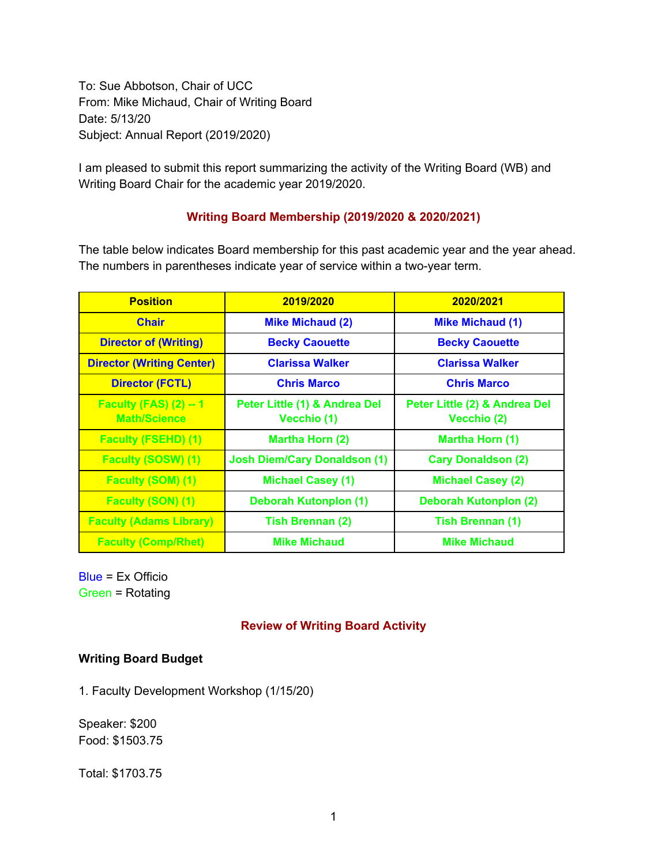To: Sue Abbotson, Chair of UCC From: Mike Michaud, Chair of Writing Board Date: 5/13/20 Subject: Annual Report (2019/2020)

I am pleased to submit this report summarizing the activity of the Writing Board (WB) and Writing Board Chair for the academic year 2019/2020.

## **Writing Board Membership (2019/2020 & 2020/2021)**

The table below indicates Board membership for this past academic year and the year ahead. The numbers in parentheses indicate year of service within a two-year term.

| <b>Position</b>                                      | 2019/2020                                    | 2020/2021                                    |
|------------------------------------------------------|----------------------------------------------|----------------------------------------------|
| <b>Chair</b>                                         | <b>Mike Michaud (2)</b>                      | <b>Mike Michaud (1)</b>                      |
| <b>Director of (Writing)</b>                         | <b>Becky Caouette</b>                        | <b>Becky Caouette</b>                        |
| <b>Director (Writing Center)</b>                     | <b>Clarissa Walker</b>                       | <b>Clarissa Walker</b>                       |
| <b>Director (FCTL)</b>                               | <b>Chris Marco</b>                           | <b>Chris Marco</b>                           |
| <b>Faculty (FAS) (2) -- 1</b><br><b>Math/Science</b> | Peter Little (1) & Andrea Del<br>Vecchio (1) | Peter Little (2) & Andrea Del<br>Vecchio (2) |
| <b>Faculty (FSEHD) (1)</b>                           | Martha Horn (2)                              | <b>Martha Horn (1)</b>                       |
| <b>Faculty (SOSW) (1)</b>                            | <b>Josh Diem/Cary Donaldson (1)</b>          | <b>Cary Donaldson (2)</b>                    |
| <b>Faculty (SOM) (1)</b>                             | <b>Michael Casey (1)</b>                     | <b>Michael Casey (2)</b>                     |
| <b>Faculty (SON) (1)</b>                             | <b>Deborah Kutonplon (1)</b>                 | Deborah Kutonplon (2)                        |
| <b>Faculty (Adams Library)</b>                       | <b>Tish Brennan (2)</b>                      | Tish Brennan (1)                             |
| <b>Faculty (Comp/Rhet)</b>                           | <b>Mike Michaud</b>                          | <b>Mike Michaud</b>                          |

Blue = Ex Officio Green = Rotating

# **Review of Writing Board Activity**

## **Writing Board Budget**

1. Faculty Development Workshop (1/15/20)

Speaker: \$200 Food: \$1503.75

Total: \$1703.75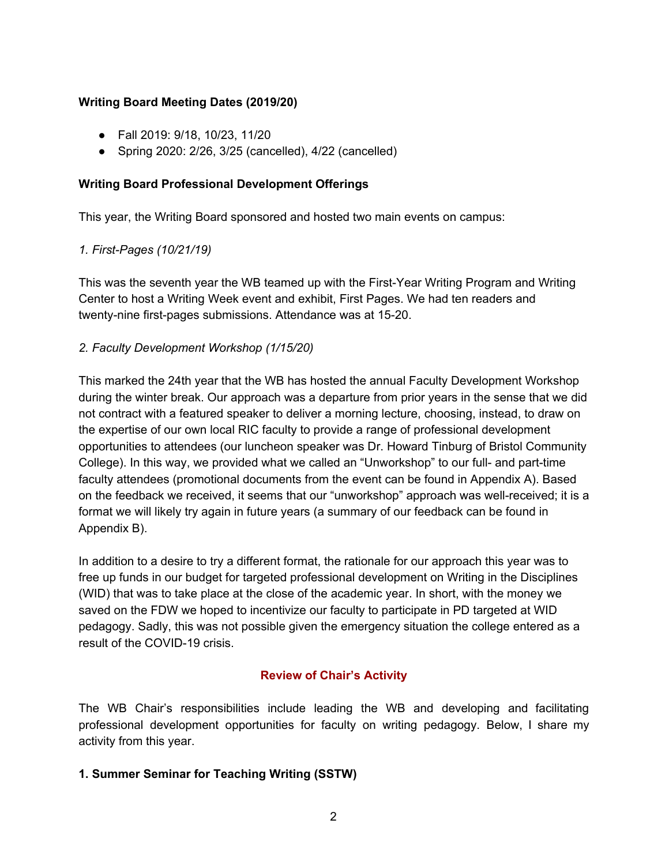## **Writing Board Meeting Dates (2019/20)**

- Fall 2019: 9/18, 10/23, 11/20
- Spring 2020: 2/26, 3/25 (cancelled), 4/22 (cancelled)

## **Writing Board Professional Development Offerings**

This year, the Writing Board sponsored and hosted two main events on campus:

# *1. First-Pages (10/21/19)*

This was the seventh year the WB teamed up with the First-Year Writing Program and Writing Center to host a Writing Week event and exhibit, First Pages. We had ten readers and twenty-nine first-pages submissions. Attendance was at 15-20.

# *2. Faculty Development Workshop (1/15/20)*

This marked the 24th year that the WB has hosted the annual Faculty Development Workshop during the winter break. Our approach was a departure from prior years in the sense that we did not contract with a featured speaker to deliver a morning lecture, choosing, instead, to draw on the expertise of our own local RIC faculty to provide a range of professional development opportunities to attendees (our luncheon speaker was Dr. Howard Tinburg of Bristol Community College). In this way, we provided what we called an "Unworkshop" to our full- and part-time faculty attendees (promotional documents from the event can be found in Appendix A). Based on the feedback we received, it seems that our "unworkshop" approach was well-received; it is a format we will likely try again in future years (a summary of our feedback can be found in Appendix B).

In addition to a desire to try a different format, the rationale for our approach this year was to free up funds in our budget for targeted professional development on Writing in the Disciplines (WID) that was to take place at the close of the academic year. In short, with the money we saved on the FDW we hoped to incentivize our faculty to participate in PD targeted at WID pedagogy. Sadly, this was not possible given the emergency situation the college entered as a result of the COVID-19 crisis.

# **Review of Chair's Activity**

The WB Chair's responsibilities include leading the WB and developing and facilitating professional development opportunities for faculty on writing pedagogy. Below, I share my activity from this year.

## **1. Summer Seminar for Teaching Writing (SSTW)**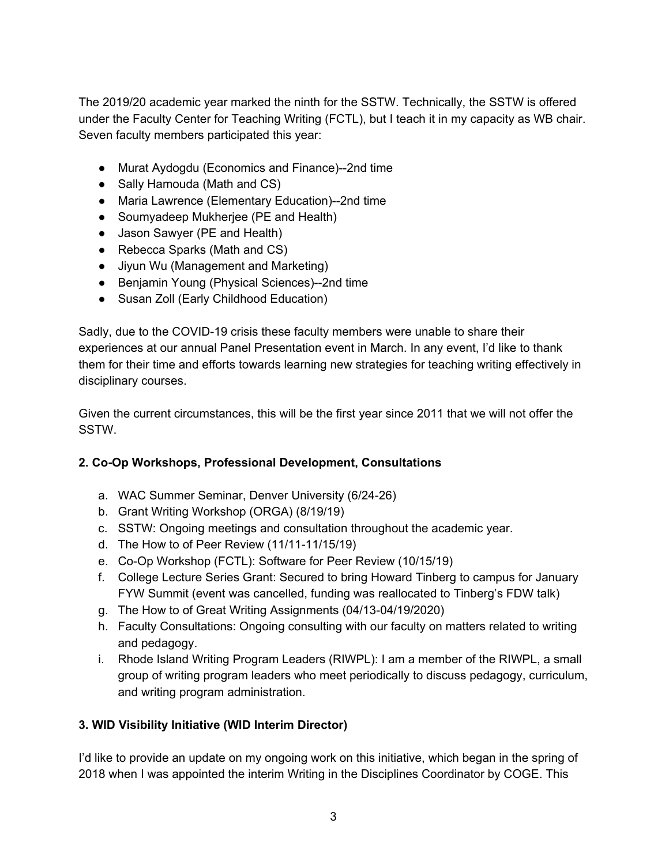The 2019/20 academic year marked the ninth for the SSTW. Technically, the SSTW is offered under the Faculty Center for Teaching Writing (FCTL), but I teach it in my capacity as WB chair. Seven faculty members participated this year:

- Murat Aydogdu (Economics and Finance)--2nd time
- Sally Hamouda (Math and CS)
- Maria Lawrence (Elementary Education)--2nd time
- Soumyadeep Mukherjee (PE and Health)
- Jason Sawyer (PE and Health)
- Rebecca Sparks (Math and CS)
- Jiyun Wu (Management and Marketing)
- Benjamin Young (Physical Sciences)--2nd time
- Susan Zoll (Early Childhood Education)

Sadly, due to the COVID-19 crisis these faculty members were unable to share their experiences at our annual Panel Presentation event in March. In any event, I'd like to thank them for their time and efforts towards learning new strategies for teaching writing effectively in disciplinary courses.

Given the current circumstances, this will be the first year since 2011 that we will not offer the SSTW.

# **2. Co-Op Workshops, Professional Development, Consultations**

- a. WAC Summer Seminar, Denver University (6/24-26)
- b. Grant Writing Workshop (ORGA) (8/19/19)
- c. SSTW: Ongoing meetings and consultation throughout the academic year.
- d. The How to of Peer Review (11/11-11/15/19)
- e. Co-Op Workshop (FCTL): Software for Peer Review (10/15/19)
- f. College Lecture Series Grant: Secured to bring Howard Tinberg to campus for January FYW Summit (event was cancelled, funding was reallocated to Tinberg's FDW talk)
- g. The How to of Great Writing Assignments (04/13-04/19/2020)
- h. Faculty Consultations: Ongoing consulting with our faculty on matters related to writing and pedagogy.
- i. Rhode Island Writing Program Leaders (RIWPL): I am a member of the RIWPL, a small group of writing program leaders who meet periodically to discuss pedagogy, curriculum, and writing program administration.

# **3. WID Visibility Initiative (WID Interim Director)**

I'd like to provide an update on my ongoing work on this initiative, which began in the spring of 2018 when I was appointed the interim Writing in the Disciplines Coordinator by COGE. This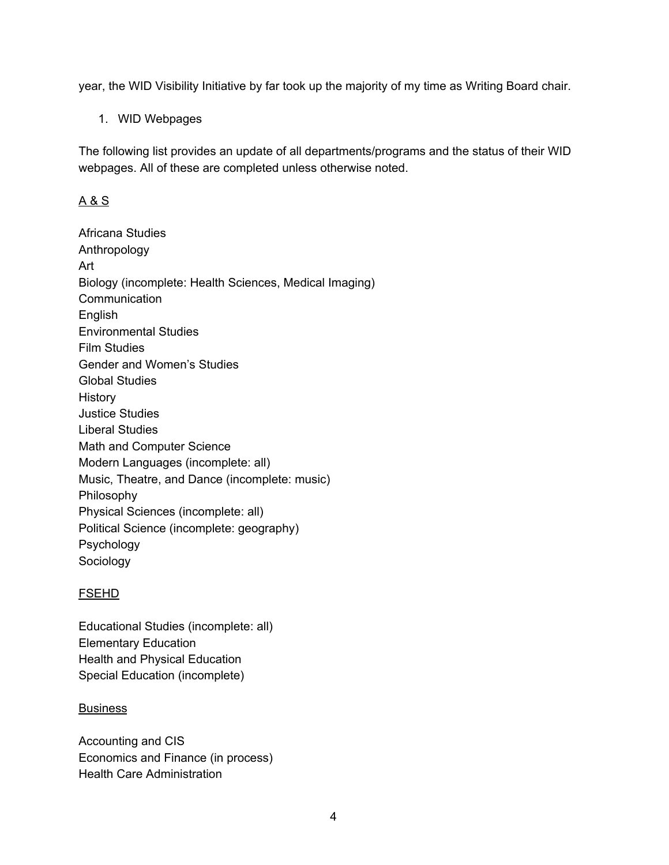year, the WID Visibility Initiative by far took up the majority of my time as Writing Board chair.

1. WID Webpages

The following list provides an update of all departments/programs and the status of their WID webpages. All of these are completed unless otherwise noted.

# A & S

Africana Studies Anthropology Art Biology (incomplete: Health Sciences, Medical Imaging) **Communication** English Environmental Studies Film Studies Gender and Women's Studies Global Studies History Justice Studies Liberal Studies Math and Computer Science Modern Languages (incomplete: all) Music, Theatre, and Dance (incomplete: music) Philosophy Physical Sciences (incomplete: all) Political Science (incomplete: geography) Psychology Sociology

# FSEHD

Educational Studies (incomplete: all) Elementary Education Health and Physical Education Special Education (incomplete)

# **Business**

Accounting and CIS Economics and Finance (in process) Health Care Administration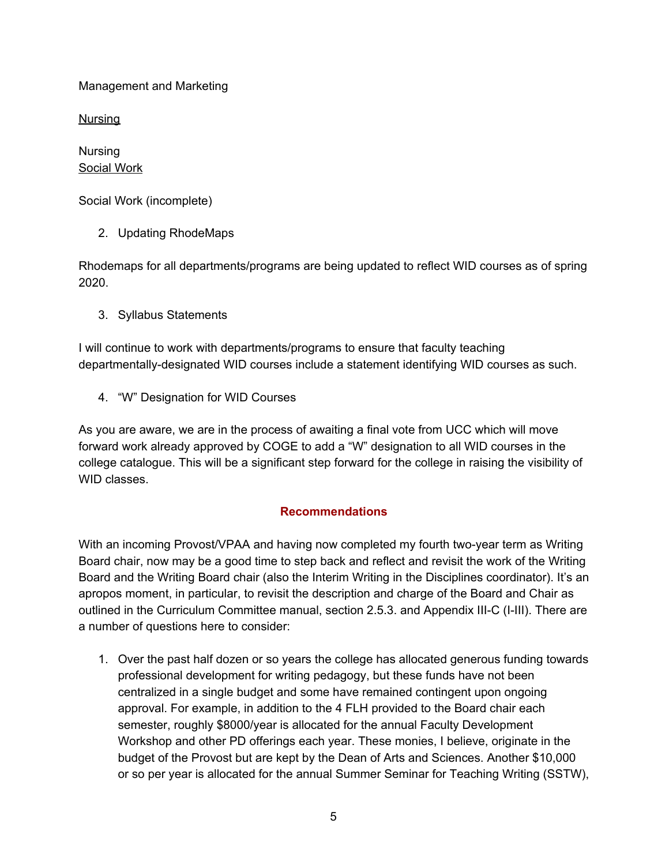Management and Marketing

**Nursing** 

Nursing Social Work

Social Work (incomplete)

2. Updating RhodeMaps

Rhodemaps for all departments/programs are being updated to reflect WID courses as of spring 2020.

3. Syllabus Statements

I will continue to work with departments/programs to ensure that faculty teaching departmentally-designated WID courses include a statement identifying WID courses as such.

4. "W" Designation for WID Courses

As you are aware, we are in the process of awaiting a final vote from UCC which will move forward work already approved by COGE to add a "W" designation to all WID courses in the college catalogue. This will be a significant step forward for the college in raising the visibility of WID classes.

# **Recommendations**

With an incoming Provost/VPAA and having now completed my fourth two-year term as Writing Board chair, now may be a good time to step back and reflect and revisit the work of the Writing Board and the Writing Board chair (also the Interim Writing in the Disciplines coordinator). It's an apropos moment, in particular, to revisit the description and charge of the Board and Chair as outlined in the Curriculum Committee manual, section 2.5.3. and Appendix III-C (I-III). There are a number of questions here to consider:

1. Over the past half dozen or so years the college has allocated generous funding towards professional development for writing pedagogy, but these funds have not been centralized in a single budget and some have remained contingent upon ongoing approval. For example, in addition to the 4 FLH provided to the Board chair each semester, roughly \$8000/year is allocated for the annual Faculty Development Workshop and other PD offerings each year. These monies, I believe, originate in the budget of the Provost but are kept by the Dean of Arts and Sciences. Another \$10,000 or so per year is allocated for the annual Summer Seminar for Teaching Writing (SSTW),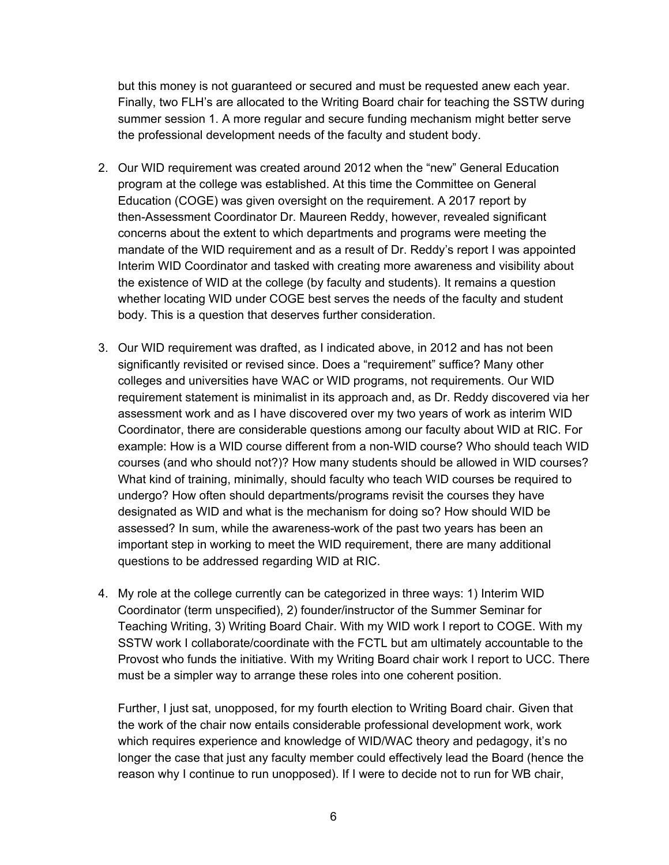but this money is not guaranteed or secured and must be requested anew each year. Finally, two FLH's are allocated to the Writing Board chair for teaching the SSTW during summer session 1. A more regular and secure funding mechanism might better serve the professional development needs of the faculty and student body.

- 2. Our WID requirement was created around 2012 when the "new" General Education program at the college was established. At this time the Committee on General Education (COGE) was given oversight on the requirement. A 2017 report by then-Assessment Coordinator Dr. Maureen Reddy, however, revealed significant concerns about the extent to which departments and programs were meeting the mandate of the WID requirement and as a result of Dr. Reddy's report I was appointed Interim WID Coordinator and tasked with creating more awareness and visibility about the existence of WID at the college (by faculty and students). It remains a question whether locating WID under COGE best serves the needs of the faculty and student body. This is a question that deserves further consideration.
- 3. Our WID requirement was drafted, as I indicated above, in 2012 and has not been significantly revisited or revised since. Does a "requirement" suffice? Many other colleges and universities have WAC or WID programs, not requirements. Our WID requirement statement is minimalist in its approach and, as Dr. Reddy discovered via her assessment work and as I have discovered over my two years of work as interim WID Coordinator, there are considerable questions among our faculty about WID at RIC. For example: How is a WID course different from a non-WID course? Who should teach WID courses (and who should not?)? How many students should be allowed in WID courses? What kind of training, minimally, should faculty who teach WID courses be required to undergo? How often should departments/programs revisit the courses they have designated as WID and what is the mechanism for doing so? How should WID be assessed? In sum, while the awareness-work of the past two years has been an important step in working to meet the WID requirement, there are many additional questions to be addressed regarding WID at RIC.
- 4. My role at the college currently can be categorized in three ways: 1) Interim WID Coordinator (term unspecified), 2) founder/instructor of the Summer Seminar for Teaching Writing, 3) Writing Board Chair. With my WID work I report to COGE. With my SSTW work I collaborate/coordinate with the FCTL but am ultimately accountable to the Provost who funds the initiative. With my Writing Board chair work I report to UCC. There must be a simpler way to arrange these roles into one coherent position.

Further, I just sat, unopposed, for my fourth election to Writing Board chair. Given that the work of the chair now entails considerable professional development work, work which requires experience and knowledge of WID/WAC theory and pedagogy, it's no longer the case that just any faculty member could effectively lead the Board (hence the reason why I continue to run unopposed). If I were to decide not to run for WB chair,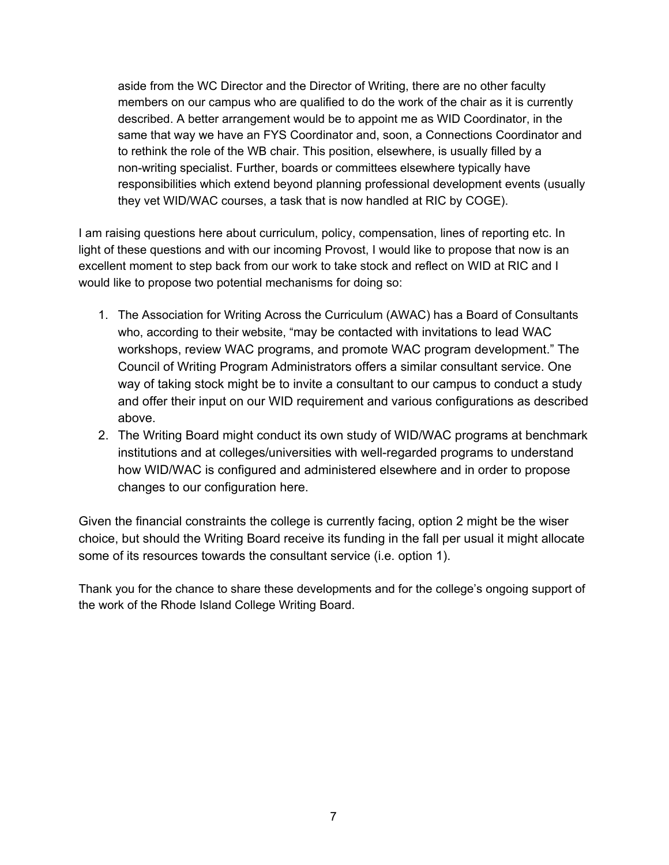aside from the WC Director and the Director of Writing, there are no other faculty members on our campus who are qualified to do the work of the chair as it is currently described. A better arrangement would be to appoint me as WID Coordinator, in the same that way we have an FYS Coordinator and, soon, a Connections Coordinator and to rethink the role of the WB chair. This position, elsewhere, is usually filled by a non-writing specialist. Further, boards or committees elsewhere typically have responsibilities which extend beyond planning professional development events (usually they vet WID/WAC courses, a task that is now handled at RIC by COGE).

I am raising questions here about curriculum, policy, compensation, lines of reporting etc. In light of these questions and with our incoming Provost, I would like to propose that now is an excellent moment to step back from our work to take stock and reflect on WID at RIC and I would like to propose two potential mechanisms for doing so:

- 1. The Association for Writing Across the Curriculum (AWAC) has a Board of Consultants who, according to their website, "may be contacted with invitations to lead WAC workshops, review WAC programs, and promote WAC program development." The Council of Writing Program Administrators offers a similar consultant service. One way of taking stock might be to invite a consultant to our campus to conduct a study and offer their input on our WID requirement and various configurations as described above.
- 2. The Writing Board might conduct its own study of WID/WAC programs at benchmark institutions and at colleges/universities with well-regarded programs to understand how WID/WAC is configured and administered elsewhere and in order to propose changes to our configuration here.

Given the financial constraints the college is currently facing, option 2 might be the wiser choice, but should the Writing Board receive its funding in the fall per usual it might allocate some of its resources towards the consultant service (i.e. option 1).

Thank you for the chance to share these developments and for the college's ongoing support of the work of the Rhode Island College Writing Board.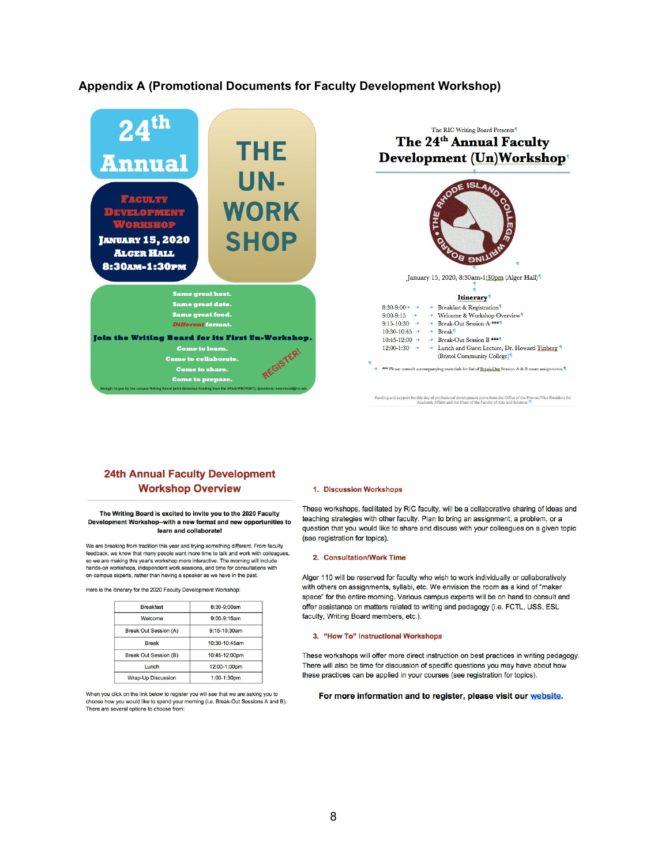### **Appendix A (Promotional Documents for Faculty Development Workshop)**



### **24th Annual Faculty Development Workshop Overview**

The Writing Board is excited to invite you to the 2020 Faculty Development Workshop--with a new format and new opportunities to learn and collaborate!

We are breaking from tradition this year and trying something different. From faculty feedback, we know that many people want more time to talk and work with colleagues, so we are making this year's workshop more interactive. The morning will include hands-on workshops, independent work sessions, and time for consultations with on-campus experts, rather than having a speaker as we have in the past.

Here is the itinerary for the 2020 Faculty Development Workshop:

| <b>Breakfast</b>          | 8:30-9:00am       |
|---------------------------|-------------------|
| Welcome                   | 9:00-9:15am       |
| Break Out Session (A)     | $9:15 - 10:30$ am |
| <b>Break</b>              | 10:30-10:45am     |
| Break Out Session (B)     | 10:45-12:00pm     |
| Lunch                     | 12:00-1:00pm      |
| <b>Wrap-Up Discussion</b> | 1:00-1:30pm       |

When you click on the link below to register you will see that we are asking you to choose how you would like to spend your morning (i.e. Break-Out Sessions A and B). There are several options to choose from:

#### 1. Discussion Workshops

These workshops, facilitated by RIC faculty, will be a collaborative sharing of ideas and teaching strategies with other faculty. Plan to bring an assignment, a problem, or a question that you would like to share and discuss with your colleagues on a given topic (see registration for topics).

### 2. Consultation/Work Time

Alger 110 will be reserved for faculty who wish to work individually or collaboratively with others on assignments, syllabi, etc. We envision the room as a kind of "maker space" for the entire morning. Various campus experts will be on hand to consult and offer assistance on matters related to writing and pedagogy (i.e. FCTL, USS, ESL faculty, Writing Board members, etc.).

#### 3. "How To" Instructional Workshops

These workshops will offer more direct instruction on best practices in writing pedagogy. There will also be time for discussion of specific questions you may have about how these practices can be applied in your courses (see registration for topics).

#### For more information and to register, please visit our website.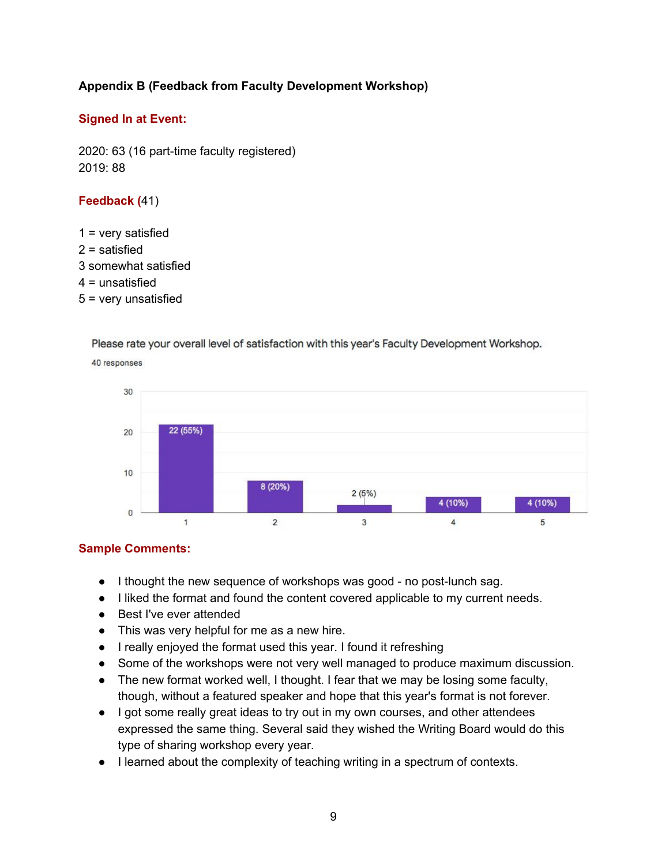# **Appendix B (Feedback from Faculty Development Workshop)**

## **Signed In at Event:**

2020: 63 (16 part-time faculty registered) 2019: 88

## **Feedback (**41)

 = very satisfied = satisfied somewhat satisfied = unsatisfied = very unsatisfied

Please rate your overall level of satisfaction with this year's Faculty Development Workshop.



40 responses

# **Sample Comments:**

- I thought the new sequence of workshops was good no post-lunch sag.
- I liked the format and found the content covered applicable to my current needs.
- Best I've ever attended
- This was very helpful for me as a new hire.
- I really enjoyed the format used this year. I found it refreshing
- Some of the workshops were not very well managed to produce maximum discussion.
- The new format worked well, I thought. I fear that we may be losing some faculty, though, without a featured speaker and hope that this year's format is not forever.
- I got some really great ideas to try out in my own courses, and other attendees expressed the same thing. Several said they wished the Writing Board would do this type of sharing workshop every year.
- I learned about the complexity of teaching writing in a spectrum of contexts.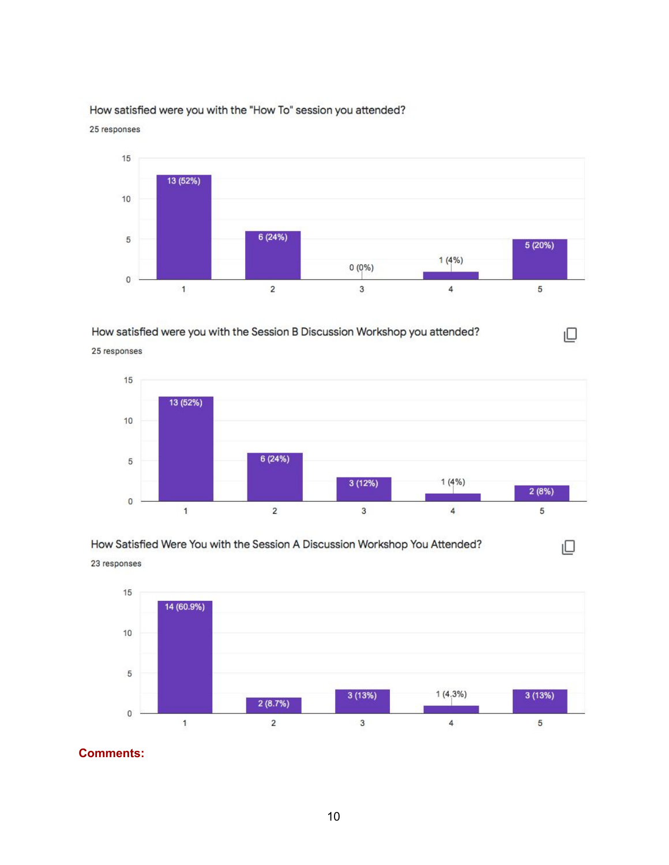

## How satisfied were you with the "How To" session you attended?

25 responses

How satisfied were you with the Session B Discussion Workshop you attended?

 $15$ 13 (52%)  $10$ 6 (24%) 5  $3(12%)$  $1(4%)$  $2(8%)$  $\overline{0}$  $\overline{c}$  $\overline{3}$  $\overline{5}$  $\overline{1}$  $\overline{4}$ 

 $\Box$ 

ıО



23 responses

25 responses



**Comments:**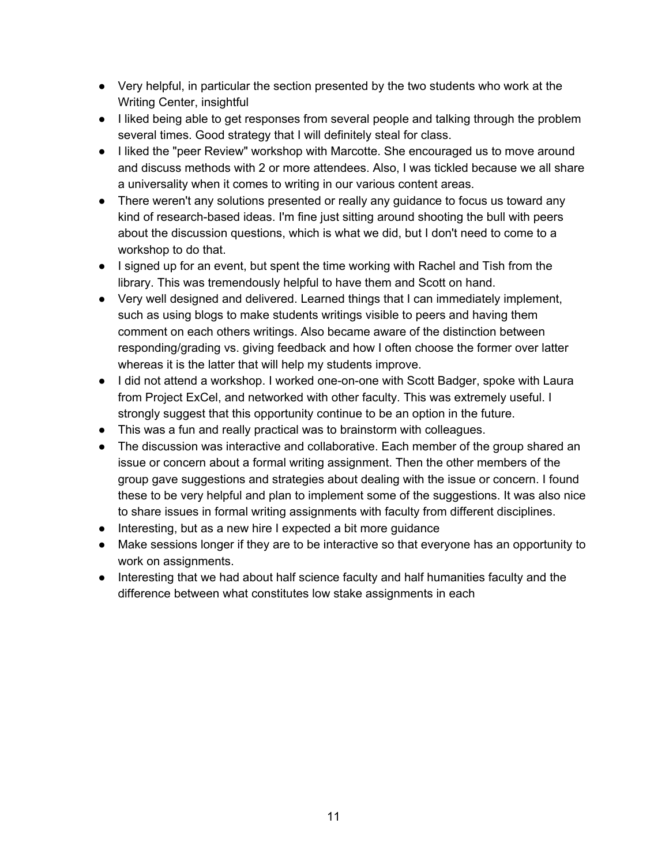- Very helpful, in particular the section presented by the two students who work at the Writing Center, insightful
- I liked being able to get responses from several people and talking through the problem several times. Good strategy that I will definitely steal for class.
- I liked the "peer Review" workshop with Marcotte. She encouraged us to move around and discuss methods with 2 or more attendees. Also, I was tickled because we all share a universality when it comes to writing in our various content areas.
- There weren't any solutions presented or really any guidance to focus us toward any kind of research-based ideas. I'm fine just sitting around shooting the bull with peers about the discussion questions, which is what we did, but I don't need to come to a workshop to do that.
- I signed up for an event, but spent the time working with Rachel and Tish from the library. This was tremendously helpful to have them and Scott on hand.
- Very well designed and delivered. Learned things that I can immediately implement, such as using blogs to make students writings visible to peers and having them comment on each others writings. Also became aware of the distinction between responding/grading vs. giving feedback and how I often choose the former over latter whereas it is the latter that will help my students improve.
- I did not attend a workshop. I worked one-on-one with Scott Badger, spoke with Laura from Project ExCel, and networked with other faculty. This was extremely useful. I strongly suggest that this opportunity continue to be an option in the future.
- This was a fun and really practical was to brainstorm with colleagues.
- The discussion was interactive and collaborative. Each member of the group shared an issue or concern about a formal writing assignment. Then the other members of the group gave suggestions and strategies about dealing with the issue or concern. I found these to be very helpful and plan to implement some of the suggestions. It was also nice to share issues in formal writing assignments with faculty from different disciplines.
- Interesting, but as a new hire I expected a bit more guidance
- Make sessions longer if they are to be interactive so that everyone has an opportunity to work on assignments.
- Interesting that we had about half science faculty and half humanities faculty and the difference between what constitutes low stake assignments in each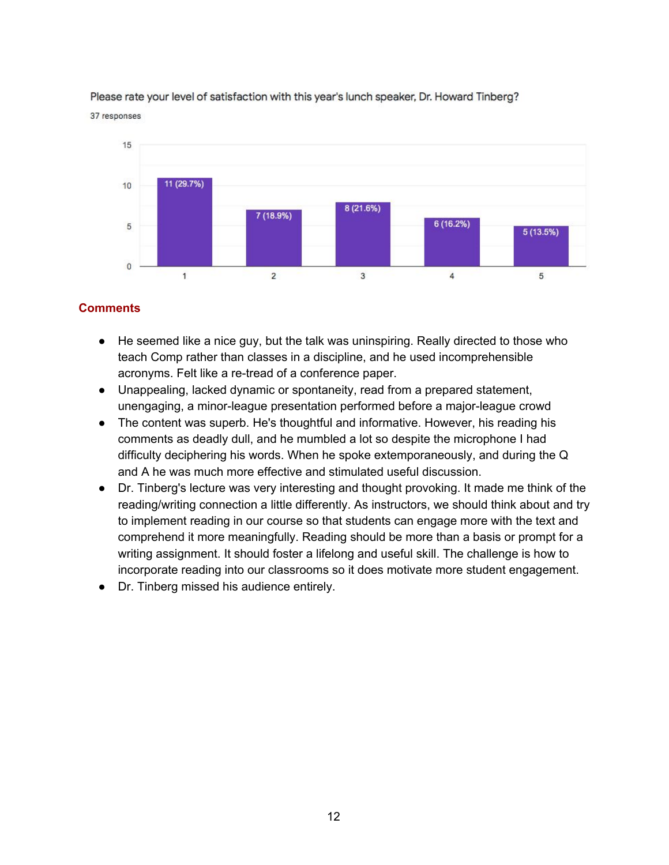

Please rate your level of satisfaction with this year's lunch speaker, Dr. Howard Tinberg? 37 responses

# **Comments**

- He seemed like a nice guy, but the talk was uninspiring. Really directed to those who teach Comp rather than classes in a discipline, and he used incomprehensible acronyms. Felt like a re-tread of a conference paper.
- Unappealing, lacked dynamic or spontaneity, read from a prepared statement, unengaging, a minor-league presentation performed before a major-league crowd
- The content was superb. He's thoughtful and informative. However, his reading his comments as deadly dull, and he mumbled a lot so despite the microphone I had difficulty deciphering his words. When he spoke extemporaneously, and during the Q and A he was much more effective and stimulated useful discussion.
- Dr. Tinberg's lecture was very interesting and thought provoking. It made me think of the reading/writing connection a little differently. As instructors, we should think about and try to implement reading in our course so that students can engage more with the text and comprehend it more meaningfully. Reading should be more than a basis or prompt for a writing assignment. It should foster a lifelong and useful skill. The challenge is how to incorporate reading into our classrooms so it does motivate more student engagement.
- Dr. Tinberg missed his audience entirely.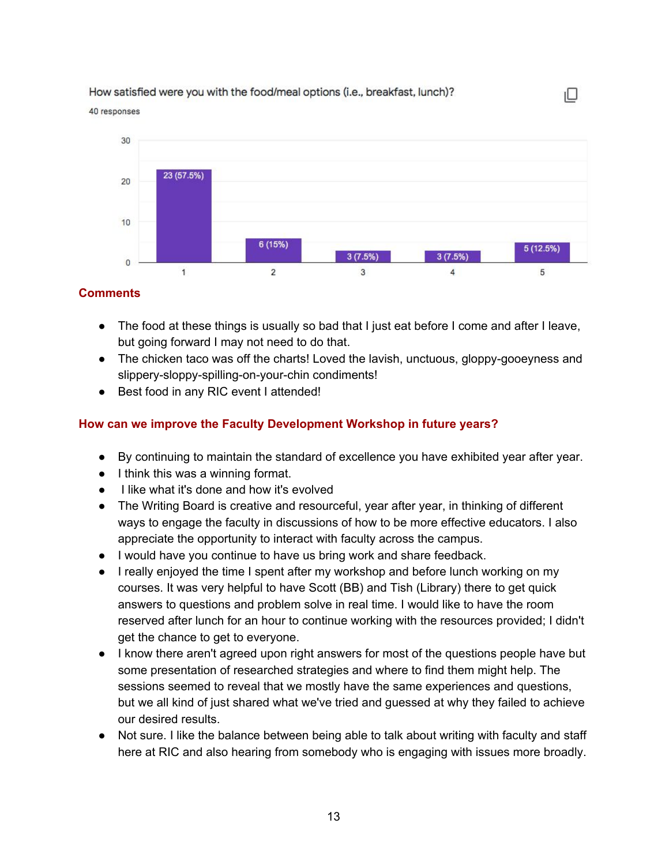### How satisfied were you with the food/meal options (i.e., breakfast, lunch)?

40 responses



ıО

## **Comments**

- The food at these things is usually so bad that I just eat before I come and after I leave, but going forward I may not need to do that.
- The chicken taco was off the charts! Loved the lavish, unctuous, gloppy-gooeyness and slippery-sloppy-spilling-on-your-chin condiments!
- Best food in any RIC event I attended!

## **How can we improve the Faculty Development Workshop in future years?**

- By continuing to maintain the standard of excellence you have exhibited year after year.
- I think this was a winning format.
- I like what it's done and how it's evolved
- The Writing Board is creative and resourceful, year after year, in thinking of different ways to engage the faculty in discussions of how to be more effective educators. I also appreciate the opportunity to interact with faculty across the campus.
- I would have you continue to have us bring work and share feedback.
- I really enjoyed the time I spent after my workshop and before lunch working on my courses. It was very helpful to have Scott (BB) and Tish (Library) there to get quick answers to questions and problem solve in real time. I would like to have the room reserved after lunch for an hour to continue working with the resources provided; I didn't get the chance to get to everyone.
- I know there aren't agreed upon right answers for most of the questions people have but some presentation of researched strategies and where to find them might help. The sessions seemed to reveal that we mostly have the same experiences and questions, but we all kind of just shared what we've tried and guessed at why they failed to achieve our desired results.
- Not sure. I like the balance between being able to talk about writing with faculty and staff here at RIC and also hearing from somebody who is engaging with issues more broadly.